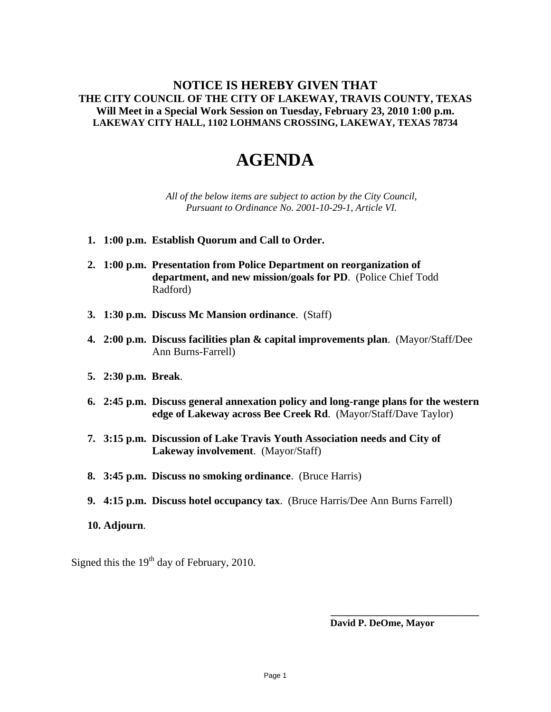## **NOTICE IS HEREBY GIVEN THAT THE CITY COUNCIL OF THE CITY OF LAKEWAY, TRAVIS COUNTY, TEXAS Will Meet in a Special Work Session on Tuesday, February 23, 2010 1:00 p.m. LAKEWAY CITY HALL, 1102 LOHMANS CROSSING, LAKEWAY, TEXAS 78734**

## **AGENDA**

*All of the below items are subject to action by the City Council, Pursuant to Ordinance No. 2001-10-29-1, Article VI.* 

- **1. 1:00 p.m. Establish Quorum and Call to Order.**
- **2. 1:00 p.m. Presentation from Police Department on reorganization of department, and new mission/goals for PD**. (Police Chief Todd Radford)
- **3. 1:30 p.m. Discuss Mc Mansion ordinance**. (Staff)
- **4. 2:00 p.m. Discuss facilities plan & capital improvements plan**. (Mayor/Staff/Dee Ann Burns-Farrell)
- **5. 2:30 p.m. Break**.
- **6. 2:45 p.m. Discuss general annexation policy and long-range plans for the western edge of Lakeway across Bee Creek Rd**. (Mayor/Staff/Dave Taylor)
- **7. 3:15 p.m. Discussion of Lake Travis Youth Association needs and City of Lakeway involvement**. (Mayor/Staff)
- **8. 3:45 p.m. Discuss no smoking ordinance**. (Bruce Harris)
- **9. 4:15 p.m. Discuss hotel occupancy tax**. (Bruce Harris/Dee Ann Burns Farrell)
- **10. Adjourn**.

Signed this the  $19<sup>th</sup>$  day of February, 2010.

 **David P. DeOme, Mayor** 

**\_\_\_\_\_\_\_\_\_\_\_\_\_\_\_\_\_\_\_\_\_\_\_\_\_\_\_\_\_\_**